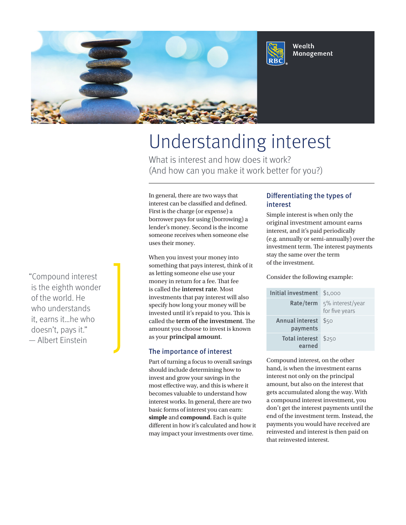

# Understanding interest

What is interest and how does it work? (And how can you make it work better for you?)

In general, there are two ways that interest can be classified and defined. First is the charge (or expense) a borrower pays for using (borrowing) a lender's money. Second is the income someone receives when someone else uses their money.

When you invest your money into something that pays interest, think of it as letting someone else use your money in return for a fee. That fee is called the **interest rate**. Most investments that pay interest will also specify how long your money will be invested until it's repaid to you. This is called the **term of the investment**. The amount you choose to invest is known as your **principal amount**.

### The importance of interest

Part of turning a focus to overall savings should include determining how to invest and grow your savings in the most effective way, and this is where it becomes valuable to understand how interest works. In general, there are two basic forms of interest you can earn: **simple** and **compound**. Each is quite different in how it's calculated and how it may impact your investments over time.

## Differentiating the types of interest

Wealth Management

Simple interest is when only the original investment amount earns interest, and it's paid periodically (e.g. annually or semi-annually) over the investment term. The interest payments stay the same over the term of the investment.

Consider the following example:

| Initial investment          | \$1,000                            |
|-----------------------------|------------------------------------|
| Rate/term                   | 5% interest/year<br>for five years |
| Annual interest<br>payments | \$50                               |
| Total interest<br>earned    | \$250                              |

Compound interest, on the other hand, is when the investment earns interest not only on the principal amount, but also on the interest that gets accumulated along the way. With a compound interest investment, you don't get the interest payments until the end of the investment term. Instead, the payments you would have received are reinvested and interest is then paid on that reinvested interest.

"Compound interest is the eighth wonder of the world. He who understands it, earns it…he who doesn't, pays it." — Albert Einstein